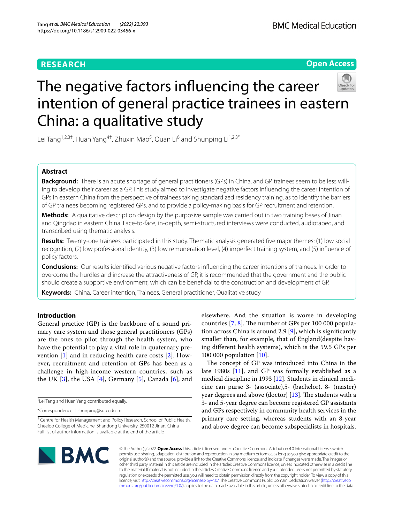# **RESEARCH**

**Open Access**

# The negative factors infuencing the career intention of general practice trainees in eastern China: a qualitative study

Lei Tang<sup>1,2,3†</sup>, Huan Yang<sup>4†</sup>, Zhuxin Mao<sup>5</sup>, Quan Li<sup>6</sup> and Shunping Li<sup>1,2,3\*</sup>

# **Abstract**

**Background:** There is an acute shortage of general practitioners (GPs) in China, and GP trainees seem to be less willing to develop their career as a GP. This study aimed to investigate negative factors infuencing the career intention of GPs in eastern China from the perspective of trainees taking standardized residency training, as to identify the barriers of GP trainees becoming registered GPs, and to provide a policy-making basis for GP recruitment and retention.

**Methods:** A qualitative description design by the purposive sample was carried out in two training bases of Jinan and Qingdao in eastern China. Face-to-face, in-depth, semi-structured interviews were conducted, audiotaped, and transcribed using thematic analysis.

**Results:** Twenty-one trainees participated in this study. Thematic analysis generated fve major themes: (1) low social recognition, (2) low professional identity, (3) low remuneration level, (4) imperfect training system, and (5) infuence of policy factors.

**Conclusions:** Our results identifed various negative factors infuencing the career intentions of trainees. In order to overcome the hurdles and increase the attractiveness of GP, it is recommended that the government and the public should create a supportive environment, which can be benefcial to the construction and development of GP.

**Keywords:** China, Career intention, Trainees, General practitioner, Qualitative study

### **Introduction**

General practice (GP) is the backbone of a sound primary care system and those general practitioners (GPs) are the ones to pilot through the health system, who have the potential to play a vital role in quaternary prevention [[1\]](#page-6-0) and in reducing health care costs [\[2](#page-6-1)]. However, recruitment and retention of GPs has been as a challenge in high-income western countries, such as the UK  $[3]$  $[3]$ , the USA  $[4]$  $[4]$  $[4]$ , Germany  $[5]$  $[5]$ , Canada  $[6]$  $[6]$ , and

† Lei Tang and Huan Yang contributed equally.

\*Correspondence: lishunping@sdu.edu.cn

elsewhere. And the situation is worse in developing countries  $[7, 8]$  $[7, 8]$  $[7, 8]$  $[7, 8]$ . The number of GPs per 100 000 population across China is around 2.9  $[9]$  $[9]$ , which is significantly smaller than, for example, that of England(despite having diferent health systems), which is the 59.5 GPs per 100 000 population [[10\]](#page-6-9).

The concept of GP was introduced into China in the late 1980s [\[11](#page-6-10)], and GP was formally established as a medical discipline in 1993 [[12](#page-6-11)]. Students in clinical medicine can purse 3- (associate),5- (bachelor), 8- (master) year degrees and above (doctor)  $[13]$  $[13]$ . The students with a 3- and 5-year degree can become registered GP assistants and GPs respectively in community health services in the primary care setting, whereas students with an 8-year and above degree can become subspecialists in hospitals.



© The Author(s) 2022. **Open Access** This article is licensed under a Creative Commons Attribution 4.0 International License, which permits use, sharing, adaptation, distribution and reproduction in any medium or format, as long as you give appropriate credit to the original author(s) and the source, provide a link to the Creative Commons licence, and indicate if changes were made. The images or other third party material in this article are included in the article's Creative Commons licence, unless indicated otherwise in a credit line to the material. If material is not included in the article's Creative Commons licence and your intended use is not permitted by statutory regulation or exceeds the permitted use, you will need to obtain permission directly from the copyright holder. To view a copy of this licence, visit [http://creativecommons.org/licenses/by/4.0/.](http://creativecommons.org/licenses/by/4.0/) The Creative Commons Public Domain Dedication waiver ([http://creativeco](http://creativecommons.org/publicdomain/zero/1.0/) [mmons.org/publicdomain/zero/1.0/](http://creativecommons.org/publicdomain/zero/1.0/)) applies to the data made available in this article, unless otherwise stated in a credit line to the data.

<sup>&</sup>lt;sup>1</sup> Centre for Health Management and Policy Research, School of Public Health, Cheeloo College of Medicine, Shandong University, 250012 Jinan, China Full list of author information is available at the end of the article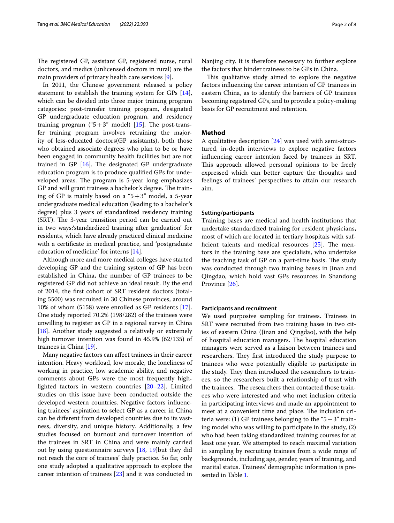The registered GP, assistant GP, registered nurse, rural doctors, and medics (unlicensed doctors in rural) are the main providers of primary health care services [[9](#page-6-8)].

In 2011, the Chinese government released a policy statement to establish the training system for GPs [\[14](#page-6-13)], which can be divided into three major training program categories: post-transfer training program, designated GP undergraduate education program, and residency training program (" $5+3$ " model) [\[15](#page-6-14)]. The post-transfer training program involves retraining the majority of less-educated doctors(GP assistants), both those who obtained associate degrees who plan to be or have been engaged in community health facilities but are not trained in GP  $[16]$  $[16]$ . The designated GP undergraduate education program is to produce qualifed GPs for undeveloped areas. The program is 5-year long emphasizes GP and will grant trainees a bachelor's degree. The training of GP is mainly based on a " $5+3$ " model, a 5-year undergraduate medical education (leading to a bachelor's degree) plus 3 years of standardized residency training (SRT). The 3-year transition period can be carried out in two ways:'standardized training after graduation' for residents, which have already practiced clinical medicine with a certifcate in medical practice, and 'postgraduate education of medicine' for interns [\[14](#page-6-13)].

Although more and more medical colleges have started developing GP and the training system of GP has been established in China, the number of GP trainees to be registered GP did not achieve an ideal result. By the end of 2014, the frst cohort of SRT resident doctors (totaling 5500) was recruited in 30 Chinese provinces, around 10% of whom (5158) were enrolled as GP residents [\[17](#page-6-16)]. One study reported 70.2% (198/282) of the trainees were unwilling to register as GP in a regional survey in China [[18\]](#page-6-17). Another study suggested a relatively or extremely high turnover intention was found in 45.9% (62/135) of trainees in China [\[19\]](#page-6-18).

Many negative factors can afect trainees in their career intention. Heavy workload, low morale, the loneliness of working in practice, low academic ability, and negative comments about GPs were the most frequently highlighted factors in western countries [[20–](#page-6-19)[22\]](#page-6-20). Limited studies on this issue have been conducted outside the developed western countries. Negative factors infuencing trainees' aspiration to select GP as a career in China can be diferent from developed countries due to its vastness, diversity, and unique history. Additionally, a few studies focused on burnout and turnover intention of the trainees in SRT in China and were mainly carried out by using questionnaire surveys [\[18,](#page-6-17) [19\]](#page-6-18)but they did not reach the core of trainees' daily practice. So far, only one study adopted a qualitative approach to explore the career intention of trainees [\[23\]](#page-6-21) and it was conducted in Nanjing city. It is therefore necessary to further explore the factors that hinder trainees to be GPs in China.

This qualitative study aimed to explore the negative factors infuencing the career intention of GP trainees in eastern China, as to identify the barriers of GP trainees becoming registered GPs, and to provide a policy-making basis for GP recruitment and retention.

#### **Method**

A qualitative description [\[24](#page-6-22)] was used with semi-structured, in-depth interviews to explore negative factors infuencing career intention faced by trainees in SRT. This approach allowed personal opinions to be freely expressed which can better capture the thoughts and feelings of trainees' perspectives to attain our research aim.

#### **Setting/participants**

Training bases are medical and health institutions that undertake standardized training for resident physicians, most of which are located in tertiary hospitals with sufficient talents and medical resources  $[25]$  $[25]$ . The mentors in the training base are specialists, who undertake the teaching task of GP on a part-time basis. The study was conducted through two training bases in Jinan and Qingdao, which hold vast GPs resources in Shandong Province [[26\]](#page-6-24).

#### **Participants and recruitment**

We used purposive sampling for trainees. Trainees in SRT were recruited from two training bases in two cities of eastern China (Jinan and Qingdao), with the help of hospital education managers. The hospital education managers were served as a liaison between trainees and researchers. They first introduced the study purpose to trainees who were potentially eligible to participate in the study. They then introduced the researchers to trainees, so the researchers built a relationship of trust with the trainees. The researchers then contacted those trainees who were interested and who met inclusion criteria in participating interviews and made an appointment to meet at a convenient time and place. The inclusion criteria were: (1) GP trainees belonging to the " $5+3$ " training model who was willing to participate in the study, (2) who had been taking standardized training courses for at least one year. We attempted to reach maximal variation in sampling by recruiting trainees from a wide range of backgrounds, including age, gender, years of training, and marital status. Trainees' demographic information is presented in Table [1.](#page-2-0)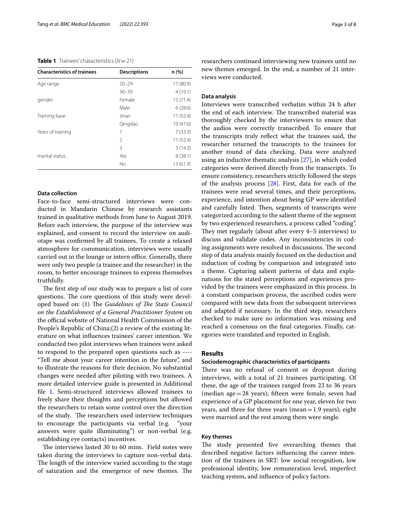#### <span id="page-2-0"></span>**Table 1** Trainees' characteristics (*N*=21)

| <b>Characteristics of trainees</b> | <b>Descriptions</b> | n (%)     |
|------------------------------------|---------------------|-----------|
| Age range                          | $20 - 29$           | 17 (80.9) |
|                                    | $30 - 39$           | 4(19.1)   |
| gender                             | Female              | 15(71.4)  |
|                                    | Male                | 6(28.6)   |
| Training base                      | Jinan               | 11(52.4)  |
|                                    | Qingdao             | 10(47.6)  |
| Years of training                  | 1                   | 7(33.3)   |
|                                    | $\mathfrak{D}$      | 11(52.4)  |
|                                    | 3                   | 3(14.3)   |
| marital status                     | Yes                 | 8(38.1)   |
|                                    | <b>No</b>           | 13 (61.9) |

#### **Data collection**

Face-to-face semi-structured interviews were conducted in Mandarin Chinese by research assistants trained in qualitative methods from June to August 2019. Before each interview, the purpose of the interview was explained, and consent to record the interview on audiotape was confrmed by all trainees. To create a relaxed atmosphere for communication, interviews were usually carried out in the lounge or intern office. Generally, there were only two people (a trainee and the researcher) in the room, to better encourage trainees to express themselves truthfully.

The first step of our study was to prepare a list of core questions. The core questions of this study were developed based on: (1) The *Guidelines of The State Council on the Establishment of a General Practitioner System* on the official website of National Health Commission of the People's Republic of China;(2) a review of the existing literature on what infuences trainees' career intention. We conducted two pilot interviews when trainees were asked to respond to the prepared open questions such as ---- "Tell me about your career intention in the future", and to illustrate the reasons for their decision. No substantial changes were needed after piloting with two trainees. A more detailed interview guide is presented in Additional file [1](#page-5-0). Semi-structured interviews allowed trainees to freely share their thoughts and perceptions but allowed the researchers to retain some control over the direction of the study. The researchers used interview techniques to encourage the participants via verbal (e.g. "your answers were quite illuminating") or non-verbal (e.g. establishing eye contacts) incentives.

The interviews lasted 30 to 60 mins. Field notes were taken during the interviews to capture non-verbal data. The length of the interview varied according to the stage of saturation and the emergence of new themes. The researchers continued interviewing new trainees until no new themes emerged. In the end, a number of 21 interviews were conducted.

#### **Data analysis**

Interviews were transcribed verbatim within 24 h after the end of each interview. The transcribed material was thoroughly checked by the interviewers to ensure that the audios were correctly transcribed. To ensure that the transcripts truly refect what the trainees said, the researcher returned the transcripts to the trainees for another round of data checking. Data were analyzed using an inductive thematic analysis [\[27\]](#page-6-25), in which coded categories were derived directly from the transcripts. To ensure consistency, researchers strictly followed the steps of the analysis process [\[28](#page-6-26)]. First, data for each of the trainees were read several times, and their perceptions, experience, and intention about being GP were identifed and carefully listed. Then, segments of transcripts were categorized according to the salient theme of the segment by two experienced researchers, a process called "coding". They met regularly (about after every 4–5 interviews) to discuss and validate codes. Any inconsistencies in coding assignments were resolved in discussions. The second step of data analysis mainly focused on the deduction and induction of coding by comparison and integrated into a theme. Capturing salient patterns of data and explanations for the stated perceptions and experiences provided by the trainees were emphasized in this process. In a constant comparison process, the ascribed codes were compared with new data from the subsequent interviews and adapted if necessary. In the third step, researchers checked to make sure no information was missing and reached a consensus on the fnal categories. Finally, categories were translated and reported in English.

#### **Results**

#### **Sociodemographic characteristics of participants**

There was no refusal of consent or dropout during interviews, with a total of 21 trainees participating. Of these, the age of the trainees ranged from 23 to 36 years (median age=28 years); ffteen were female; seven had experience of a GP placement for one year, eleven for two years, and three for three years (mean  $=1.9$  years); eight were married and the rest among them were single.

#### **Key themes**

The study presented five overarching themes that described negative factors infuencing the career intention of the trainees in SRT: low social recognition, low professional identity, low remuneration level, imperfect teaching system, and infuence of policy factors.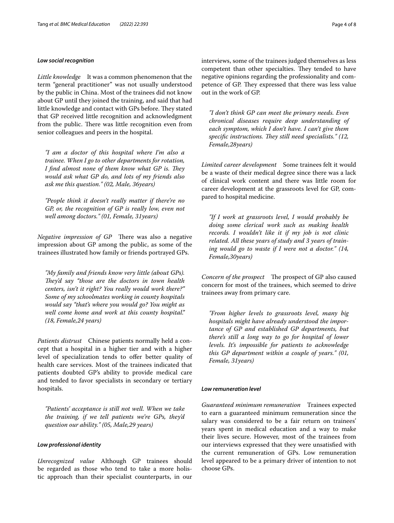#### *Low social recognition*

*Little knowledge* It was a common phenomenon that the term "general practitioner" was not usually understood by the public in China. Most of the trainees did not know about GP until they joined the training, and said that had little knowledge and contact with GPs before. They stated that GP received little recognition and acknowledgment from the public. There was little recognition even from senior colleagues and peers in the hospital.

*"I am a doctor of this hospital where I'm also a trainee. When I go to other departments for rotation, I find almost none of them know what GP is. They would ask what GP do, and lots of my friends also ask me this question." (02, Male, 36years)*

*"People think it doesn't really matter if there're no GP, or, the recognition of GP is really low, even not well among doctors." (01, Female, 31years)*

*Negative impression of GP* There was also a negative impression about GP among the public, as some of the trainees illustrated how family or friends portrayed GPs.

*"My family and friends know very little (about GPs).*  They'd say "those are the doctors in town health *centers, isn't it right? You really would work there?" Some of my schoolmates working in county hospitals would say "that's where you would go? You might as well come home and work at this county hospital." (18, Female,24 years)*

*Patients distrust* Chinese patients normally held a concept that a hospital in a higher tier and with a higher level of specialization tends to offer better quality of health care services. Most of the trainees indicated that patients doubted GP's ability to provide medical care and tended to favor specialists in secondary or tertiary hospitals.

*"Patients' acceptance is still not well. When we take the training, if we tell patients we're GPs, they'd question our ability." (05, Male,29 years)*

#### *Low professional identity*

*Unrecognized value* Although GP trainees should be regarded as those who tend to take a more holistic approach than their specialist counterparts, in our interviews, some of the trainees judged themselves as less competent than other specialties. They tended to have negative opinions regarding the professionality and competence of GP. They expressed that there was less value out in the work of GP.

*"I don't think GP can meet the primary needs. Even chronical diseases require deep understanding of each symptom, which I don't have. I can't give them*  specific instructions. They still need specialists." (12, *Female,28years)*

*Limited career development* Some trainees felt it would be a waste of their medical degree since there was a lack of clinical work content and there was little room for career development at the grassroots level for GP, compared to hospital medicine.

*"If I work at grassroots level, I would probably be doing some clerical work such as making health records. I wouldn't like it if my job is not clinic related. All these years of study and 3 years of training would go to waste if I were not a doctor." (14, Female,30years)*

*Concern of the prospect* The prospect of GP also caused concern for most of the trainees, which seemed to drive trainees away from primary care.

*"From higher levels to grassroots level, many big hospitals might have already understood the importance of GP and established GP departments, but there's still a long way to go for hospital of lower levels. It's impossible for patients to acknowledge this GP department within a couple of years." (01, Female, 31years)*

#### *Low remuneration level*

*Guaranteed minimum remuneration* Trainees expected to earn a guaranteed minimum remuneration since the salary was considered to be a fair return on trainees' years spent in medical education and a way to make their lives secure. However, most of the trainees from our interviews expressed that they were unsatisfed with the current remuneration of GPs. Low remuneration level appeared to be a primary driver of intention to not choose GPs.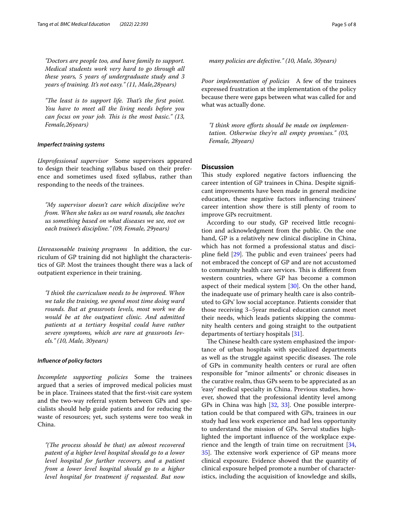*"Doctors are people too, and have family to support. Medical students work very hard to go through all these years, 5 years of undergraduate study and 3 years of training. It's not easy." (11, Male,28years)*

"The least is to support life. That's the first point. *You have to meet all the living needs before you can focus on your job. This is the most basic." (13, Female,26years)*

#### *Imperfect training systems*

*Unprofessional supervisor* Some supervisors appeared to design their teaching syllabus based on their preference and sometimes used fxed syllabus, rather than responding to the needs of the trainees.

*"My supervisor doesn't care which discipline we're from. When she takes us on ward rounds, she teaches us something based on what diseases we see, not on each trainee's discipline." (09, Female, 29years)*

*Unreasonable training programs* In addition, the curriculum of GP training did not highlight the characteristics of GP. Most the trainees thought there was a lack of outpatient experience in their training.

*"I think the curriculum needs to be improved. When we take the training, we spend most time doing ward rounds. But at grassroots levels, most work we do would be at the outpatient clinic. And admitted patients at a tertiary hospital could have rather severe symptoms, which are rare at grassroots levels." (10, Male, 30years)*

#### *Infuence of policy factors*

*Incomplete supporting policies* Some the trainees argued that a series of improved medical policies must be in place. Trainees stated that the frst-visit care system and the two-way referral system between GPs and specialists should help guide patients and for reducing the waste of resources; yet, such systems were too weak in China.

"(The process should be that) an almost recovered *patent of a higher level hospital should go to a lower level hospital for further recovery, and a patient from a lower level hospital should go to a higher level hospital for treatment if requested. But now* 

*many policies are defective." (10, Male, 30years)*

*Poor implementation of policies* A few of the trainees expressed frustration at the implementation of the policy because there were gaps between what was called for and what was actually done.

*"I think more eforts should be made on implementation. Otherwise they're all empty promises." (03, Female, 28years)*

#### **Discussion**

This study explored negative factors influencing the career intention of GP trainees in China. Despite signifcant improvements have been made in general medicine education, these negative factors infuencing trainees' career intention show there is still plenty of room to improve GPs recruitment.

According to our study, GP received little recognition and acknowledgment from the public. On the one hand, GP is a relatively new clinical discipline in China, which has not formed a professional status and discipline field  $[29]$  $[29]$ . The public and even trainees' peers had not embraced the concept of GP and are not accustomed to community health care services. This is different from western countries, where GP has become a common aspect of their medical system [[30\]](#page-7-0). On the other hand, the inadequate use of primary health care is also contributed to GPs' low social acceptance. Patients consider that those receiving 3–5year medical education cannot meet their needs, which leads patients skipping the community health centers and going straight to the outpatient departments of tertiary hospitals [\[31\]](#page-7-1).

The Chinese health care system emphasized the importance of urban hospitals with specialized departments as well as the struggle against specific diseases. The role of GPs in community health centers or rural are often responsible for "minor ailments" or chronic diseases in the curative realm, thus GPs seem to be appreciated as an 'easy' medical specialty in China. Previous studies, however, showed that the professional identity level among GPs in China was high [\[32](#page-7-2), [33\]](#page-7-3). One possible interpretation could be that compared with GPs, trainees in our study had less work experience and had less opportunity to understand the mission of GPs. Serval studies highlighted the important infuence of the workplace experience and the length of train time on recruitment [[34](#page-7-4), 35. The extensive work experience of GP means more clinical exposure. Evidence showed that the quantity of clinical exposure helped promote a number of characteristics, including the acquisition of knowledge and skills,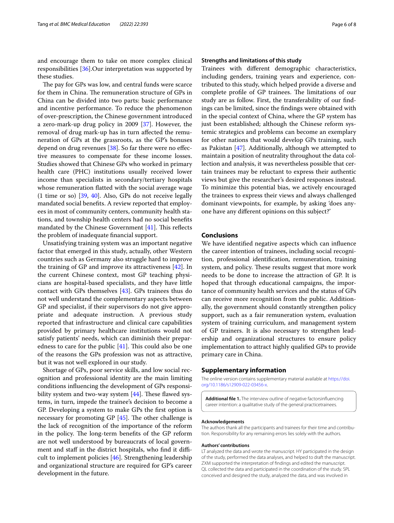and encourage them to take on more complex clinical responsibilities [\[36\]](#page-7-6).Our interpretation was supported by these studies.

The pay for GPs was low, and central funds were scarce for them in China. The remuneration structure of GPs in China can be divided into two parts: basic performance and incentive performance. To reduce the phenomenon of over-prescription, the Chinese government introduced a zero-mark-up drug policy in 2009 [\[37\]](#page-7-7). However, the removal of drug mark-up has in turn afected the remuneration of GPs at the grassroots, as the GP's bonuses depend on drug revenues [[38\]](#page-7-8). So far there were no efective measures to compensate for these income losses. Studies showed that Chinese GPs who worked in primary health care (PHC) institutions usually received lower income than specialists in secondary/tertiary hospitals whose remuneration fatted with the social average wage (1 time or so) [[39,](#page-7-9) [40](#page-7-10)]. Also, GPs do not receive legally mandated social benefts. A review reported that employees in most of community centers, community health stations, and township health centers had no social benefts mandated by the Chinese Government  $[41]$  $[41]$  $[41]$ . This reflects the problem of inadequate fnancial support.

Unsatisfying training system was an important negative factor that emerged in this study, actually, other Western countries such as Germany also struggle hard to improve the training of GP and improve its attractiveness [[42\]](#page-7-12). In the current Chinese context, most GP teaching physicians are hospital-based specialists, and they have little contact with GPs themselves [\[43\]](#page-7-13). GPs trainees thus do not well understand the complementary aspects between GP and specialist, if their supervisors do not give appropriate and adequate instruction. A previous study reported that infrastructure and clinical care capabilities provided by primary healthcare institutions would not satisfy patients' needs, which can diminish their preparedness to care for the public  $[41]$ . This could also be one of the reasons the GPs profession was not as attractive, but it was not well explored in our study.

Shortage of GPs, poor service skills, and low social recognition and professional identity are the main limiting conditions infuencing the development of GPs responsibility system and two-way system  $[44]$  $[44]$ . These flawed systems, in turn, impede the trainee's decision to become a GP. Developing a system to make GPs the frst option is necessary for promoting GP  $[45]$  $[45]$ . The other challenge is the lack of recognition of the importance of the reform in the policy. The long-term benefits of the GP reform are not well understood by bureaucrats of local government and staff in the district hospitals, who find it difficult to implement policies [[46\]](#page-7-16). Strengthening leadership and organizational structure are required for GP's career development in the future.

#### **Strengths and limitations of this study**

Trainees with diferent demographic characteristics, including genders, training years and experience, contributed to this study, which helped provide a diverse and complete profile of GP trainees. The limitations of our study are as follow. First, the transferability of our fndings can be limited, since the fndings were obtained with in the special context of China, where the GP system has just been established; although the Chinese reform systemic strategics and problems can become an exemplary for other nations that would develop GPs training, such as Pakistan [\[47](#page-7-17)]. Additionally, although we attempted to maintain a position of neutrality throughout the data collection and analysis, it was nevertheless possible that certain trainees may be reluctant to express their authentic views but give the researcher's desired responses instead. To minimize this potential bias, we actively encouraged the trainees to express their views and always challenged dominant viewpoints, for example, by asking 'does anyone have any diferent opinions on this subject?'

#### **Conclusions**

We have identifed negative aspects which can infuence the career intention of trainees, including social recognition, professional identifcation, remuneration, training system, and policy. These results suggest that more work needs to be done to increase the attraction of GP. It is hoped that through educational campaigns, the importance of community health services and the status of GPs can receive more recognition from the public. Additionally, the government should constantly strengthen policy support, such as a fair remuneration system, evaluation system of training curriculum, and management system of GP trainers. It is also necessary to strengthen leadership and organizational structures to ensure policy implementation to attract highly qualifed GPs to provide primary care in China.

#### **Supplementary information**

The online version contains supplementary material available at [https://doi.](https://doi.org/10.1186/s12909-022-03456-x) [org/10.1186/s12909-022-03456-x.](https://doi.org/10.1186/s12909-022-03456-x)

<span id="page-5-0"></span>**Additional fle 1.** The interview outline of negative factorsinfuencing career intention: a qualitative study of the general practicetrainees.

#### **Acknowledgements**

The authors thank all the participants and trainees for their time and contribution. Responsibility for any remaining errors lies solely with the authors.

#### **Authors' contributions**

LT analyzed the data and wrote the manuscript. HY participated in the design of the study, performed the data analyses, and helped to draft the manuscript. ZXM supported the interpretation of fndings and edited the manuscript. QL collected the data and participated in the coordination of the study. SPL conceived and designed the study, analyzed the data, and was involved in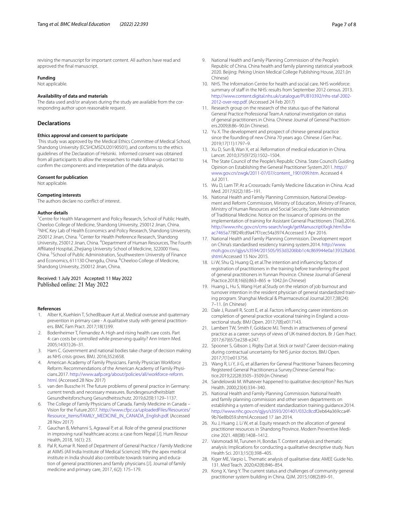revising the manuscript for important content. All authors have read and approved the fnal manuscript.

#### **Funding**

Not applicable.

#### **Availability of data and materials**

The data used and/or analyses during the study are available from the corresponding author upon reasonable request.

#### **Declarations**

#### **Ethics approval and consent to participate**

 This study was approved by the Medical Ethics Committee of Medical School, Shandong University (ECSHCMSDU20190501), and conforms to the ethics guidelines of the Declaration of Helsinki. Informed consent was obtained from all participants to allow the researchers to make follow-up contact to confrm the components and interpretation of the data analysis.

#### **Consent for publication**

Not applicable.

## **Competing interests**

The authors declare no confict of interest.

#### **Author details**

<sup>1</sup> Centre for Health Management and Policy Research, School of Public Health, Cheeloo College of Medicine, Shandong University, 250012 Jinan, China. 2 <sup>2</sup>NHC Key Lab of Health Economics and Policy Research, Shandong University, 250012 Jinan, China. <sup>3</sup> Center for Health Preference Research, Shandong University, 250012 Jinan, China. <sup>4</sup> Department of Human Resources, The Fourth Afliated Hospital, Zhejiang University School of Medicine, 322000 Yiwu, China. <sup>5</sup> School of Public Administration, Southwestern University of Finance and Economics, 611130 Chengdu, China. <sup>6</sup>Cheeloo College of Medicine, Shandong University, 250012 Jinan, China.

# Received: 1 July 2021 Accepted: 11 May 2022<br>Published online: 21 May 2022

#### **References**

- <span id="page-6-0"></span>1. Alber K, Kuehlein T, Schedlbauer A,et al. Medical overuse and quaternary prevention in primary care - A qualitative study with general practitioners. BMC Fam Pract. 2017;18(1):99.
- <span id="page-6-1"></span>2. Bodenheimer T, Fernandez A. High and rising health care costs. Part 4: can costs be controlled while preserving quality? Ann Intern Med. 2005;143(1):26–31.
- <span id="page-6-2"></span>3. Ham C. Government and national bodies take charge of decision making as NHS crisis grows. BMJ. 2016;352:i658.
- <span id="page-6-3"></span>4. American Academy of Family Physicians. Family Physician Workforce Reform: Recommendations of the American Academy of Family Physicians.2017. [http://www.aafp.org/about/policies/all/workforce-reform.](http://www.aafp.org/about/policies/all/workforce-reform.html.) [html.](http://www.aafp.org/about/policies/all/workforce-reform.html.) (Accessed 28 Nov 2017)
- <span id="page-6-4"></span>5. van den Bussche H. The future problems of general practice in Germany: current trends and necessary measures. Bundesgesundheitsblatt Gesundheitsforschung Gesundheitsschutz. 2019,62(9):1129–1137.
- <span id="page-6-5"></span>6. The College of Family Physicians of Canada. Family Medicine in Canada – Vision for the Future.2017. [http://www.cfpc.ca/uploadedFiles/Resources/](http://www.cfpc.ca/uploadedFiles/Resources/Resource_Items/FAMILY_MEDICINE_IN_CANADA_English.pdf) [Resource\\_Items/FAMILY\\_MEDICINE\\_IN\\_CANADA\\_English.pdf](http://www.cfpc.ca/uploadedFiles/Resources/Resource_Items/FAMILY_MEDICINE_IN_CANADA_English.pdf). (Accessed 28 Nov 2017)
- <span id="page-6-6"></span>7. Gauchan B, Mehanni S, Agrawal P, et al. Role of the general practitioner in improving rural healthcare access: a case from Nepal [J]. Hum Resour Health, 2018, 16(1): 23.
- <span id="page-6-7"></span>Pal R, Kumar R. Need of Department of General Practice / Family Medicine at AIIMS (All India Institute of Medical Sciences): Why the apex medical institute in India should also contribute towards training and education of general practitioners and family physicians [J]. Journal of family medicine and primary care, 2017, 6(2): 175–179.
- 
- <span id="page-6-8"></span>9. National Health and Family Planning Commission of the People's Republic of China. China health and family planning statistical yearbook 2020. Beijing: Peking Union Medical College Publishing House, 2021.(in Chinese)
- <span id="page-6-9"></span>10. NHS. The Information Centre for health and social care. NHS workforce: summary of staff in the NHS: results from September 2012 census. 2013. [http://www.content.digital.nhs.uk/catalogue/PUB10392/nhs-staf-2002-](http://www.content.digital.nhs.uk/catalogue/PUB10392/nhs-staf-2002-2012-over-rep.pdf) [2012-over-rep.pdf](http://www.content.digital.nhs.uk/catalogue/PUB10392/nhs-staf-2002-2012-over-rep.pdf). (Accessed 24 Feb 2017)
- <span id="page-6-10"></span>11. Research group on the research of the status quo of the National General Practice Professional Team.A national investigation on status of general practitioners in China. Chinese Journal of General Practitioners.2009;8:86–90.(in Chinese).
- <span id="page-6-11"></span>12. Yu X. The development and prospect of chinese general practice since the founding of new China 70 years ago. Chinese J Gen Prac. 2019;17(11):1797–9.
- <span id="page-6-12"></span>13. Xu D, Sun B, Wan X, et al. Reformation of medical education in China. Lancet. 2010;375(9725):1502–1504.
- <span id="page-6-13"></span>14. The State Council of the People's Republic China. State Council's Guiding Opinion on Establishing the General Practitioner System.2011. [http://](http://www.gov.cn/zwgk/2011-07/07/content_1901099.htm) [www.gov.cn/zwgk/2011-07/07/content\\_1901099.htm.](http://www.gov.cn/zwgk/2011-07/07/content_1901099.htm) Accessed 4 Jul 2011.
- <span id="page-6-14"></span>15. Wu D, Lam TP. At a Crossroads: Family Medicine Education in China. Acad Med. 2017;92(2):185–191.
- <span id="page-6-15"></span>16. National Health and Family Planning Commission, National Development and Reform Commission, Ministry of Education, Ministry of Finance, Ministry of Human Resources and Social Security, State Administration of Traditional Medicine. Notice on the issuance of opinions on the implementation of training for Assistant General Practitioners (Trial).2016. [http://www.nhc.gov.cn/cms-search/xxgk/getManuscriptXxgk.htm?id](http://www.nhc.gov.cn/cms-search/xxgk/getManuscriptXxgk.htm?id=ac7465a)= [ac7465a7](http://www.nhc.gov.cn/cms-search/xxgk/getManuscriptXxgk.htm?id=ac7465a)78f24fcd9a47f7cec54a3974.Accessed 5 Apr 2016.
- <span id="page-6-16"></span>17. National Health and Family Planning Commission. Development report on China's standardised residency training system.2014. [http://www.](http://www.moh.gov.cn/qjjys/s3594/201505/953d3206bb1c4c869944e0a139328a0d.shtml) [moh.gov.cn/qjjys/s3594/201505/953d3206bb1c4c869944e0a139328a0d.](http://www.moh.gov.cn/qjjys/s3594/201505/953d3206bb1c4c869944e0a139328a0d.shtml) [shtml.](http://www.moh.gov.cn/qjjys/s3594/201505/953d3206bb1c4c869944e0a139328a0d.shtml)Accessed 15 Nov 2015.
- <span id="page-6-17"></span>18. Li W, Shu Q, Huang Q, et al.The intention and infuencing factors of registration of practitioners in the training before transferring the post of general practitioners in Yunnan Province. Chinese Journal of General Practice.2018;16(6):863–865 + 1042.(in Chinese)
- <span id="page-6-18"></span>19. Huang L, Hu S, Wang H,et al.Study on the relation of job burnout and turnover intention in the resident physician of general standardized training program. Shanghai Medical & Pharmaceutical Journal.2017;38(24): 7–11. (in Chinese)
- <span id="page-6-19"></span>20. Dale J, Russell R, Scott E, et al. Factors infuencing career intentions on completion of general practice vocational training in England: a crosssectional study. BMJ Open. 2017;7(8):e017143.
- 21. Lambert TW, Smith F, Goldacre MJ. Trends in attractiveness of general practice as a career: surveys of views of UK-trained doctors. Br J Gen Pract. 2017;67(657):e238-e247.
- <span id="page-6-20"></span>22. Spooner S, Gibson J, Rigby D,et al. Stick or twist? Career decision-making during contractual uncertainty for NHS junior doctors. BMJ Open. 2017;7(1):e013756.
- <span id="page-6-21"></span>23. Wang R, Li Y, Ji G, et al.Barriers for General Practitioner Trainees Becoming Registered General Practitioners:a Survey.Chinese General Practice.2019;22(28:3505–3509.(in Chinese)
- <span id="page-6-22"></span>24. Sandelowski M. Whatever happened to qualitative description? Res Nurs Health. 2000;23(4):334–340.
- <span id="page-6-23"></span>25. National Health and Family Planning Commission. National health and family planning commission and other seven departments on establishing a system of resident standardization training guidance.2014. [http://www.nhc.gov.cn/qjjys/s3593/201401/032c8cdf2](http://www.nhc.gov.cn/qjjys/s3593/201401/032c8cdf)eb64a369cca4f-9b76e8b059.shtml.Accessed 17 Jan 2014.
- <span id="page-6-24"></span>26. Xu J, Huang J, Li W, et al. Equity research on the allocation of general practitioner resources in Shandong Province. Modern Preventive Medicine 2021. 48(08):1408–1412.
- <span id="page-6-25"></span>27. Vaismoradi M, Turunen H, Bondas T. Content analysis and thematic analysis: Implications for conducting a qualitative descriptive study. Nurs Health Sci. 2013;15(3):398–405.
- <span id="page-6-26"></span>28. Kiger ME, Varpio L. Thematic analysis of qualitative data: AMEE Guide No. 131. Med Teach. 2020;42(8):846–854.
- <span id="page-6-27"></span>29. Kong X, Yang Y. The current status and challenges of community general practitioner system building in China. QJM. 2015;108(2):89–91.